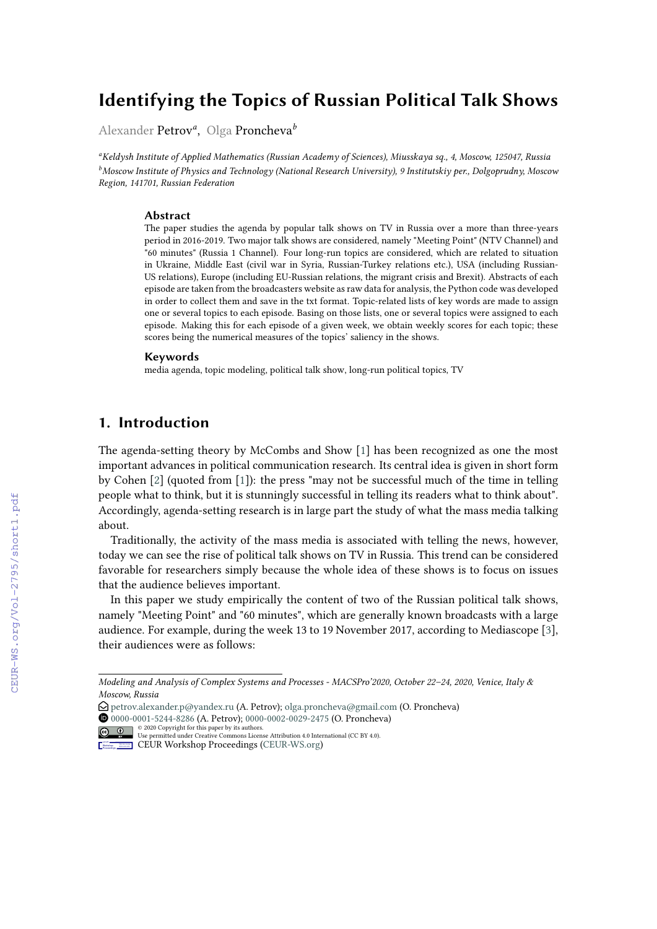# **Identifying the Topics of Russian Political Talk Shows**

Alexander Petrov*<sup>a</sup>* , Olga Proncheva*<sup>b</sup>*

*<sup>a</sup>Keldysh Institute of Applied Mathematics (Russian Academy of Sciences), Miusskaya sq., 4, Moscow, 125047, Russia <sup>b</sup>Moscow Institute of Physics and Technology (National Research University), 9 Institutskiy per., Dolgoprudny, Moscow Region, 141701, Russian Federation*

#### **Abstract**

The paper studies the agenda by popular talk shows on TV in Russia over a more than three-years period in 2016-2019. Two major talk shows are considered, namely "Meeting Point" (NTV Channel) and "60 minutes" (Russia 1 Channel). Four long-run topics are considered, which are related to situation in Ukraine, Middle East (civil war in Syria, Russian-Turkey relations etc.), USA (including Russian-US relations), Europe (including EU-Russian relations, the migrant crisis and Brexit). Abstracts of each episode are taken from the broadcasters website as raw data for analysis, the Python code was developed in order to collect them and save in the txt format. Topic-related lists of key words are made to assign one or several topics to each episode. Basing on those lists, one or several topics were assigned to each episode. Making this for each episode of a given week, we obtain weekly scores for each topic; these scores being the numerical measures of the topics' saliency in the shows.

#### **Keywords**

media agenda, topic modeling, political talk show, long-run political topics, TV

## **1. Introduction**

The agenda-setting theory by McCombs and Show [\[1\]](#page--1-0) has been recognized as one the most important advances in political communication research. Its central idea is given in short form by Cohen [\[2\]](#page--1-1) (quoted from [\[1\]](#page--1-0)): the press "may not be successful much of the time in telling people what to think, but it is stunningly successful in telling its readers what to think about". Accordingly, agenda-setting research is in large part the study of what the mass media talking about.

Traditionally, the activity of the mass media is associated with telling the news, however, today we can see the rise of political talk shows on TV in Russia. This trend can be considered favorable for researchers simply because the whole idea of these shows is to focus on issues that the audience believes important.

In this paper we study empirically the content of two of the Russian political talk shows, namely "Meeting Point" and "60 minutes", which are generally known broadcasts with a large audience. For example, during the week 13 to 19 November 2017, according to Mediascope [\[3\]](#page--1-2), their audiences were as follows:

 [0000-0001-5244-8286](https://orcid.org/0000-0001-5244-8286) (A. Petrov); [0000-0002-0029-2475](https://orcid.org/0000-0002-0029-2475) (O. Proncheva) © 2020 Copyright for this paper by its authors. Use permitted under Creative Commons License Attribution 4.0 International (CC BY 4.0).

*Modeling and Analysis of Complex Systems and Processes - MACSPro'2020, October 22–24, 2020, Venice, Italy & Moscow, Russia*

<sup>&</sup>quot; [petrov.alexander.p@yandex.ru](mailto:petrov.alexander.p@yandex.ru) (A. Petrov); [olga.proncheva@gmail.com](mailto:olga.proncheva@gmail.com) (O. Proncheva)

**CEUR Workshop [Proceedings](http://ceur-ws.org) [\(CEUR-WS.org\)](http://ceur-ws.org)**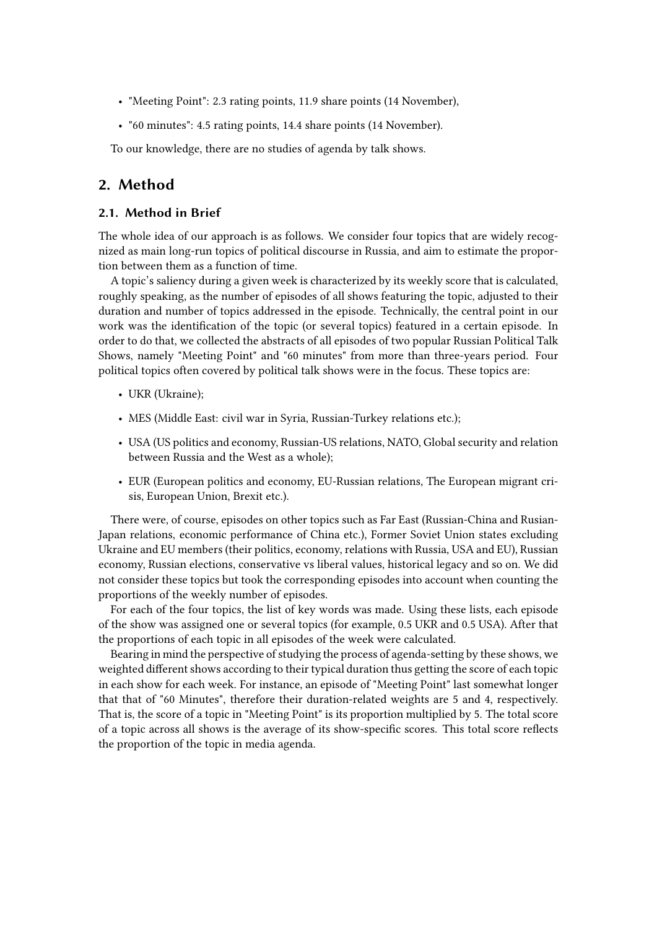- "Meeting Point": 2.3 rating points, 11.9 share points (14 November),
- "60 minutes": 4.5 rating points, 14.4 share points (14 November).

To our knowledge, there are no studies of agenda by talk shows.

### **2. Method**

### **2.1. Method in Brief**

The whole idea of our approach is as follows. We consider four topics that are widely recognized as main long-run topics of political discourse in Russia, and aim to estimate the proportion between them as a function of time.

A topic's saliency during a given week is characterized by its weekly score that is calculated, roughly speaking, as the number of episodes of all shows featuring the topic, adjusted to their duration and number of topics addressed in the episode. Technically, the central point in our work was the identification of the topic (or several topics) featured in a certain episode. In order to do that, we collected the abstracts of all episodes of two popular Russian Political Talk Shows, namely "Meeting Point" and "60 minutes" from more than three-years period. Four political topics often covered by political talk shows were in the focus. These topics are:

- UKR (Ukraine);
- MES (Middle East: civil war in Syria, Russian-Turkey relations etc.);
- USA (US politics and economy, Russian-US relations, NATO, Global security and relation between Russia and the West as a whole);
- EUR (European politics and economy, EU-Russian relations, The European migrant crisis, European Union, Brexit etc.).

There were, of course, episodes on other topics such as Far East (Russian-China and Rusian-Japan relations, economic performance of China etc.), Former Soviet Union states excluding Ukraine and EU members (their politics, economy, relations with Russia, USA and EU), Russian economy, Russian elections, conservative vs liberal values, historical legacy and so on. We did not consider these topics but took the corresponding episodes into account when counting the proportions of the weekly number of episodes.

For each of the four topics, the list of key words was made. Using these lists, each episode of the show was assigned one or several topics (for example, 0.5 UKR and 0.5 USA). After that the proportions of each topic in all episodes of the week were calculated.

Bearing in mind the perspective of studying the process of agenda-setting by these shows, we weighted different shows according to their typical duration thus getting the score of each topic in each show for each week. For instance, an episode of "Meeting Point" last somewhat longer that that of "60 Minutes", therefore their duration-related weights are 5 and 4, respectively. That is, the score of a topic in "Meeting Point" is its proportion multiplied by 5. The total score of a topic across all shows is the average of its show-specific scores. This total score reflects the proportion of the topic in media agenda.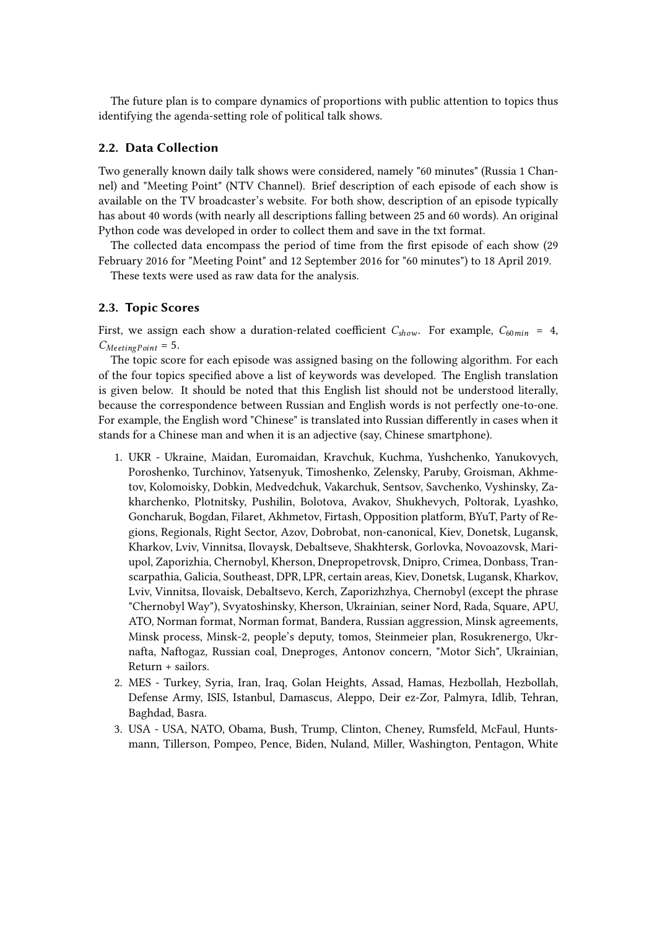The future plan is to compare dynamics of proportions with public attention to topics thus identifying the agenda-setting role of political talk shows.

### **2.2. Data Collection**

Two generally known daily talk shows were considered, namely "60 minutes" (Russia 1 Channel) and "Meeting Point" (NTV Channel). Brief description of each episode of each show is available on the TV broadcaster's website. For both show, description of an episode typically has about 40 words (with nearly all descriptions falling between 25 and 60 words). An original Python code was developed in order to collect them and save in the txt format.

The collected data encompass the period of time from the first episode of each show (29 February 2016 for "Meeting Point" and 12 September 2016 for "60 minutes") to 18 April 2019.

These texts were used as raw data for the analysis.

#### **2.3. Topic Scores**

First, we assign each show a duration-related coefficient  $C_{show}$ . For example,  $C_{60 min} = 4$ ,  $C_{Meetin\sigma Point}$  = 5.

The topic score for each episode was assigned basing on the following algorithm. For each of the four topics specified above a list of keywords was developed. The English translation is given below. It should be noted that this English list should not be understood literally, because the correspondence between Russian and English words is not perfectly one-to-one. For example, the English word "Chinese" is translated into Russian differently in cases when it stands for a Chinese man and when it is an adjective (say, Chinese smartphone).

- 1. UKR Ukraine, Maidan, Euromaidan, Kravchuk, Kuchma, Yushchenko, Yanukovych, Poroshenko, Turchinov, Yatsenyuk, Timoshenko, Zelensky, Paruby, Groisman, Akhmetov, Kolomoisky, Dobkin, Medvedchuk, Vakarchuk, Sentsov, Savchenko, Vyshinsky, Zakharchenko, Plotnitsky, Pushilin, Bolotova, Avakov, Shukhevych, Poltorak, Lyashko, Goncharuk, Bogdan, Filaret, Akhmetov, Firtash, Opposition platform, BYuT, Party of Regions, Regionals, Right Sector, Azov, Dobrobat, non-canonical, Kiev, Donetsk, Lugansk, Kharkov, Lviv, Vinnitsa, Ilovaysk, Debaltseve, Shakhtersk, Gorlovka, Novoazovsk, Mariupol, Zaporizhia, Chernobyl, Kherson, Dnepropetrovsk, Dnipro, Crimea, Donbass, Transcarpathia, Galicia, Southeast, DPR, LPR, certain areas, Kiev, Donetsk, Lugansk, Kharkov, Lviv, Vinnitsa, Ilovaisk, Debaltsevo, Kerch, Zaporizhzhya, Chernobyl (except the phrase "Chernobyl Way"), Svyatoshinsky, Kherson, Ukrainian, seiner Nord, Rada, Square, APU, ATO, Norman format, Norman format, Bandera, Russian aggression, Minsk agreements, Minsk process, Minsk-2, people's deputy, tomos, Steinmeier plan, Rosukrenergo, Ukrnafta, Naftogaz, Russian coal, Dneproges, Antonov concern, "Motor Sich", Ukrainian, Return + sailors.
- 2. MES Turkey, Syria, Iran, Iraq, Golan Heights, Assad, Hamas, Hezbollah, Hezbollah, Defense Army, ISIS, Istanbul, Damascus, Aleppo, Deir ez-Zor, Palmyra, Idlib, Tehran, Baghdad, Basra.
- 3. USA USA, NATO, Obama, Bush, Trump, Clinton, Cheney, Rumsfeld, McFaul, Huntsmann, Tillerson, Pompeo, Pence, Biden, Nuland, Miller, Washington, Pentagon, White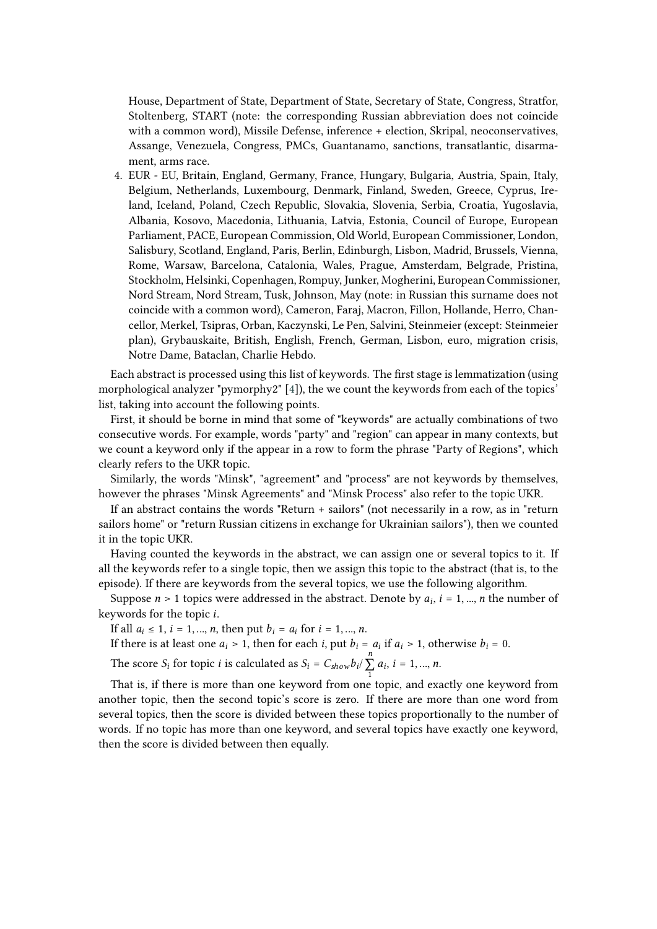House, Department of State, Department of State, Secretary of State, Congress, Stratfor, Stoltenberg, START (note: the corresponding Russian abbreviation does not coincide with a common word), Missile Defense, inference + election, Skripal, neoconservatives, Assange, Venezuela, Congress, PMCs, Guantanamo, sanctions, transatlantic, disarmament, arms race.

4. EUR - EU, Britain, England, Germany, France, Hungary, Bulgaria, Austria, Spain, Italy, Belgium, Netherlands, Luxembourg, Denmark, Finland, Sweden, Greece, Cyprus, Ireland, Iceland, Poland, Czech Republic, Slovakia, Slovenia, Serbia, Croatia, Yugoslavia, Albania, Kosovo, Macedonia, Lithuania, Latvia, Estonia, Council of Europe, European Parliament, PACE, European Commission, Old World, European Commissioner, London, Salisbury, Scotland, England, Paris, Berlin, Edinburgh, Lisbon, Madrid, Brussels, Vienna, Rome, Warsaw, Barcelona, Catalonia, Wales, Prague, Amsterdam, Belgrade, Pristina, Stockholm, Helsinki, Copenhagen, Rompuy, Junker, Mogherini, European Commissioner, Nord Stream, Nord Stream, Tusk, Johnson, May (note: in Russian this surname does not coincide with a common word), Cameron, Faraj, Macron, Fillon, Hollande, Herro, Chancellor, Merkel, Tsipras, Orban, Kaczynski, Le Pen, Salvini, Steinmeier (except: Steinmeier plan), Grybauskaite, British, English, French, German, Lisbon, euro, migration crisis, Notre Dame, Bataclan, Charlie Hebdo.

Each abstract is processed using this list of keywords. The first stage is lemmatization (using morphological analyzer "pymorphy2" [\[4\]](#page-6-0)), the we count the keywords from each of the topics' list, taking into account the following points.

First, it should be borne in mind that some of "keywords" are actually combinations of two consecutive words. For example, words "party" and "region" can appear in many contexts, but we count a keyword only if the appear in a row to form the phrase "Party of Regions", which clearly refers to the UKR topic.

Similarly, the words "Minsk", "agreement" and "process" are not keywords by themselves, however the phrases "Minsk Agreements" and "Minsk Process" also refer to the topic UKR.

If an abstract contains the words "Return + sailors" (not necessarily in a row, as in "return sailors home" or "return Russian citizens in exchange for Ukrainian sailors"), then we counted it in the topic UKR.

Having counted the keywords in the abstract, we can assign one or several topics to it. If all the keywords refer to a single topic, then we assign this topic to the abstract (that is, to the episode). If there are keywords from the several topics, we use the following algorithm.

Suppose  $n > 1$  topics were addressed in the abstract. Denote by  $a_i$ ,  $i = 1, ..., n$  the number of keywords for the topic  $i$ .

If all  $a_i \le 1$ ,  $i = 1, ..., n$ , then put  $b_i = a_i$  for  $i = 1, ..., n$ .

If there is at least one  $a_i > 1$ , then for each *i*, put  $b_i = a_i$  if  $a_i > 1$ , otherwise  $b_i = 0$ .

The score  $S_i$  for topic *i* is calculated as  $S_i = C_{show} b_i / \sum_{i=1}^{n}$  $\sum_{1} a_i, i = 1, ..., n.$ 

That is, if there is more than one keyword from one topic, and exactly one keyword from another topic, then the second topic's score is zero. If there are more than one word from several topics, then the score is divided between these topics proportionally to the number of words. If no topic has more than one keyword, and several topics have exactly one keyword, then the score is divided between then equally.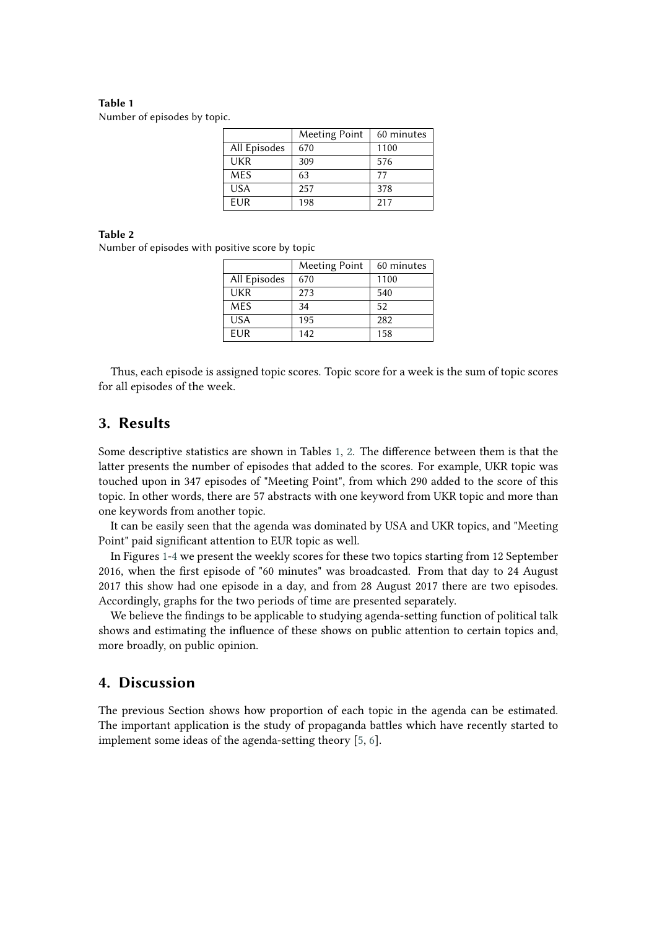#### <span id="page-4-0"></span>**Table 1** Number of episodes by topic.

|              | Meeting Point | 60 minutes |
|--------------|---------------|------------|
| All Episodes | 670           | 1100       |
| UKR          | 309           | 576        |
| <b>MES</b>   | 63            | 77         |
| <b>USA</b>   | 257           | 378        |
| <b>FUR</b>   | 198           | 217        |

#### **Table 2**

<span id="page-4-1"></span>Number of episodes with positive score by topic

|              | <b>Meeting Point</b> | 60 minutes |
|--------------|----------------------|------------|
| All Episodes | 670                  | 1100       |
| UKR          | 273                  | 540        |
| <b>MES</b>   | 34                   | 52         |
| <b>USA</b>   | 195                  | 282        |
| EUR          | 142                  | 158        |

Thus, each episode is assigned topic scores. Topic score for a week is the sum of topic scores for all episodes of the week.

### **3. Results**

Some descriptive statistics are shown in Tables [1,](#page-4-0) [2.](#page-4-1) The difference between them is that the latter presents the number of episodes that added to the scores. For example, UKR topic was touched upon in 347 episodes of "Meeting Point", from which 290 added to the score of this topic. In other words, there are 57 abstracts with one keyword from UKR topic and more than one keywords from another topic.

It can be easily seen that the agenda was dominated by USA and UKR topics, and "Meeting Point" paid significant attention to EUR topic as well.

In Figures [1-](#page-5-0)[4](#page-6-1) we present the weekly scores for these two topics starting from 12 September 2016, when the first episode of "60 minutes" was broadcasted. From that day to 24 August 2017 this show had one episode in a day, and from 28 August 2017 there are two episodes. Accordingly, graphs for the two periods of time are presented separately.

We believe the findings to be applicable to studying agenda-setting function of political talk shows and estimating the influence of these shows on public attention to certain topics and, more broadly, on public opinion.

### **4. Discussion**

The previous Section shows how proportion of each topic in the agenda can be estimated. The important application is the study of propaganda battles which have recently started to implement some ideas of the agenda-setting theory [\[5,](#page-6-2) [6\]](#page-6-3).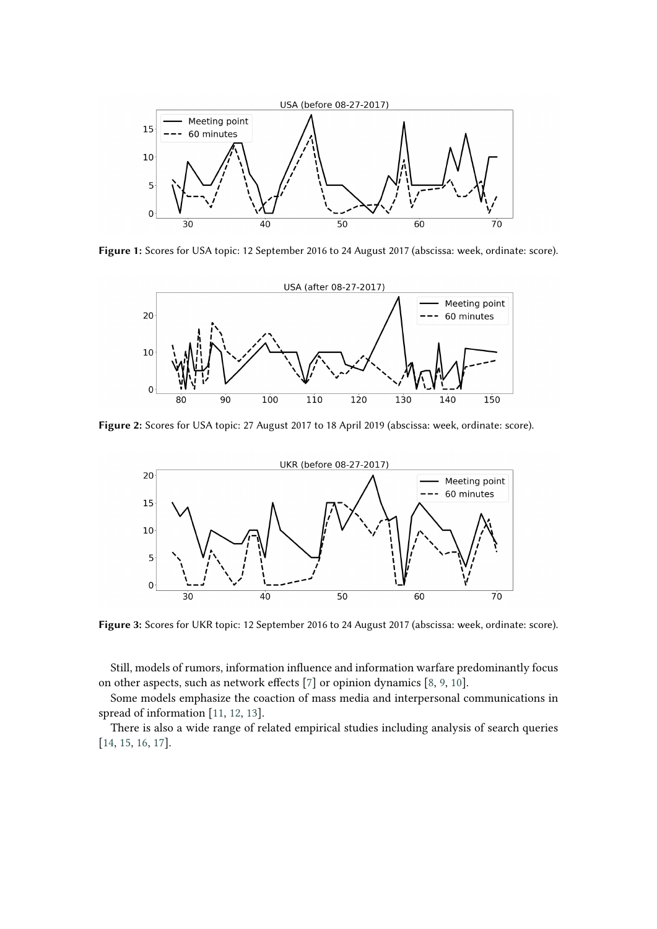

**Figure 1:** Scores for USA topic: 12 September 2016 to 24 August 2017 (abscissa: week, ordinate: score).

<span id="page-5-0"></span>

**Figure 2:** Scores for USA topic: 27 August 2017 to 18 April 2019 (abscissa: week, ordinate: score).



**Figure 3:** Scores for UKR topic: 12 September 2016 to 24 August 2017 (abscissa: week, ordinate: score).

Still, models of rumors, information influence and information warfare predominantly focus on other aspects, such as network effects [\[7\]](#page-6-4) or opinion dynamics [\[8,](#page-6-5) [9,](#page-6-6) [10\]](#page-7-0).

Some models emphasize the coaction of mass media and interpersonal communications in spread of information [\[11,](#page-7-1) [12,](#page-7-2) [13\]](#page-7-3).

There is also a wide range of related empirical studies including analysis of search queries [\[14,](#page-7-4) [15,](#page-7-5) [16,](#page-7-6) [17\]](#page-7-7).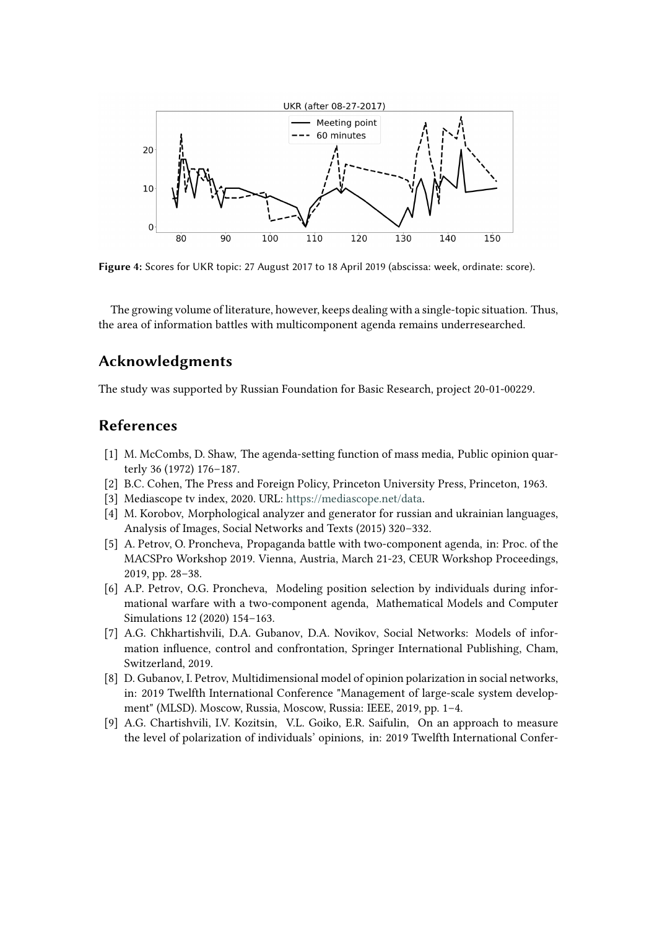

<span id="page-6-1"></span>**Figure 4:** Scores for UKR topic: 27 August 2017 to 18 April 2019 (abscissa: week, ordinate: score).

The growing volume of literature, however, keeps dealing with a single-topic situation. Thus, the area of information battles with multicomponent agenda remains underresearched.

# **Acknowledgments**

The study was supported by Russian Foundation for Basic Research, project 20-01-00229.

## **References**

- [1] M. McCombs, D. Shaw, The agenda-setting function of mass media, Public opinion quarterly 36 (1972) 176–187.
- [2] B.C. Cohen, The Press and Foreign Policy, Princeton University Press, Princeton, 1963.
- [3] Mediascope tv index, 2020. URL: [https://mediascope.net/data.](https://mediascope.net/data)
- <span id="page-6-0"></span>[4] M. Korobov, Morphological analyzer and generator for russian and ukrainian languages, Analysis of Images, Social Networks and Texts (2015) 320–332.
- <span id="page-6-2"></span>[5] A. Petrov, O. Proncheva, Propaganda battle with two-component agenda, in: Proc. of the MACSPro Workshop 2019. Vienna, Austria, March 21-23, CEUR Workshop Proceedings, 2019, pp. 28–38.
- <span id="page-6-3"></span>[6] A.P. Petrov, O.G. Proncheva, Modeling position selection by individuals during informational warfare with a two-component agenda, Mathematical Models and Computer Simulations 12 (2020) 154–163.
- <span id="page-6-4"></span>[7] A.G. Chkhartishvili, D.A. Gubanov, D.A. Novikov, Social Networks: Models of information influence, control and confrontation, Springer International Publishing, Cham, Switzerland, 2019.
- <span id="page-6-5"></span>[8] D. Gubanov, I. Petrov, Multidimensional model of opinion polarization in social networks, in: 2019 Twelfth International Conference "Management of large-scale system development" (MLSD). Moscow, Russia, Moscow, Russia: IEEE, 2019, pp. 1–4.
- <span id="page-6-6"></span>[9] A.G. Chartishvili, I.V. Kozitsin, V.L. Goiko, E.R. Saifulin, On an approach to measure the level of polarization of individuals' opinions, in: 2019 Twelfth International Confer-